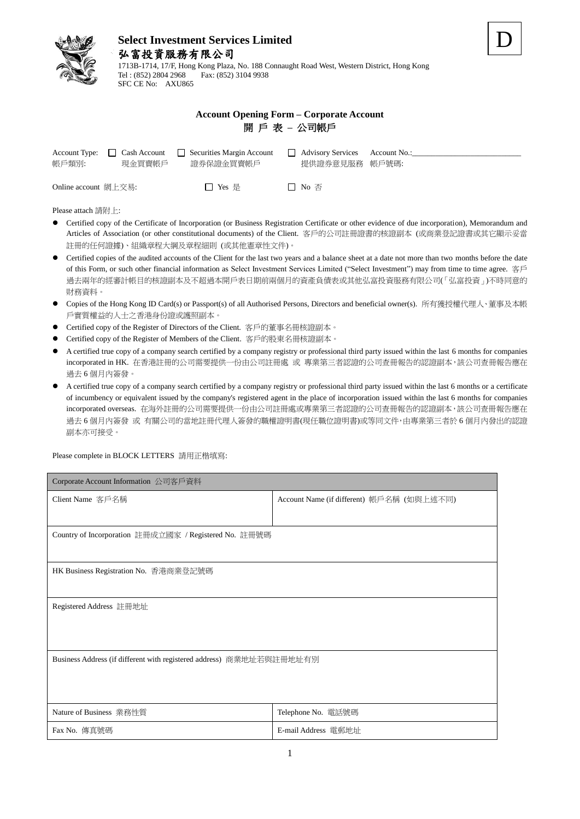

1713B-1714, 17/F, Hong Kong Plaza, No. 188 Connaught Road West, Western District, Hong Kong Fax: (852) 3104 9938 SFC CE No: AXU865

|  | <b>Account Opening Form – Corporate Account</b> |
|--|-------------------------------------------------|
|  | 開 戶 表 – 公司帳戶                                    |

| Account Type:<br>帳戶類別: | Cash Account<br>現金買賣帳戶 | Securities Margin Account<br>證券保證金買賣帳戶 | <b>Advisory Services</b><br>提供證券意見服務 帳戶號碼: | Account No.: |
|------------------------|------------------------|----------------------------------------|--------------------------------------------|--------------|
| Online account 網上交易:   |                        | □ Yes 是                                | □ No 否                                     |              |

Please attach 請附上:

- Certified copy of the Certificate of Incorporation (or Business Registration Certificate or other evidence of due incorporation), Memorandum and Articles of Association (or other constitutional documents) of the Client. 客戶的公司註冊證書的核證副本 (或商業登記證書或其它顯示妥當 註冊的任何證據)、組織章程大綱及章程細則 (或其他憲章性文件)。
- Certified copies of the audited accounts of the Client for the last two years and a balance sheet at a date not more than two months before the date of this Form, or such other financial information as Select Investment Services Limited ("Select Investment") may from time to time agree. 客戶 過去兩年的經審計帳目的核證副本及不超過本開戶表日期前兩個月的資產負債表或其他弘富投資服務有限公司(「弘富投資」)不時同意的 財務資料。
- Copies of the Hong Kong ID Card(s) or Passport(s) of all Authorised Persons, Directors and beneficial owner(s). 所有獲授權代理人、董事及本帳 戶實質權益的人士之香港身份證或護照副本。
- Certified copy of the Register of Directors of the Client. 客戶的董事名冊核證副本。
- Certified copy of the Register of Members of the Client. 客戶的股東名冊核證副本。
- A certified true copy of a company search certified by a company registry or professional third party issued within the last 6 months for companies incorporated in HK. 在香港註冊的公司需要提供一份由公司註冊處 或 專業第三者認證的公司查冊報告的認證副本,該公司查冊報告應在 過去 6 個月內簽發。
- A certified true copy of a company search certified by a company registry or professional third party issued within the last 6 months or a certificate of incumbency or equivalent issued by the company's registered agent in the place of incorporation issued within the last 6 months for companies incorporated overseas. 在海外註冊的公司需要提供一份由公司註冊處或專業第三者認證的公司查冊報告的認證副本,該公司查冊報告應在 過去 6 個月內簽發 或 有關公司的當地註冊代理人簽發的職權證明書(現任職位證明書)或等同文件,由專業第三者於 6 個月內發出的認證 副本亦可接受。

Please complete in BLOCK LETTERS 請用正楷填寫:

| Corporate Account Information 公司客戶資料                                 |                                           |  |  |  |
|----------------------------------------------------------------------|-------------------------------------------|--|--|--|
| Client Name 客戶名稱                                                     | Account Name (if different) 帳戶名稱 (如與上述不同) |  |  |  |
|                                                                      |                                           |  |  |  |
| Country of Incorporation 註冊成立國家 / Registered No. 註冊號碼                |                                           |  |  |  |
|                                                                      |                                           |  |  |  |
| HK Business Registration No. 香港商業登記號碼                                |                                           |  |  |  |
|                                                                      |                                           |  |  |  |
| Registered Address 註冊地址                                              |                                           |  |  |  |
|                                                                      |                                           |  |  |  |
|                                                                      |                                           |  |  |  |
| Business Address (if different with registered address) 商業地址若與註冊地址有別 |                                           |  |  |  |
|                                                                      |                                           |  |  |  |
|                                                                      |                                           |  |  |  |
| Nature of Business 業務性質                                              | Telephone No. 電話號碼                        |  |  |  |
| Fax No. 傳真號碼                                                         | E-mail Address 電郵地址                       |  |  |  |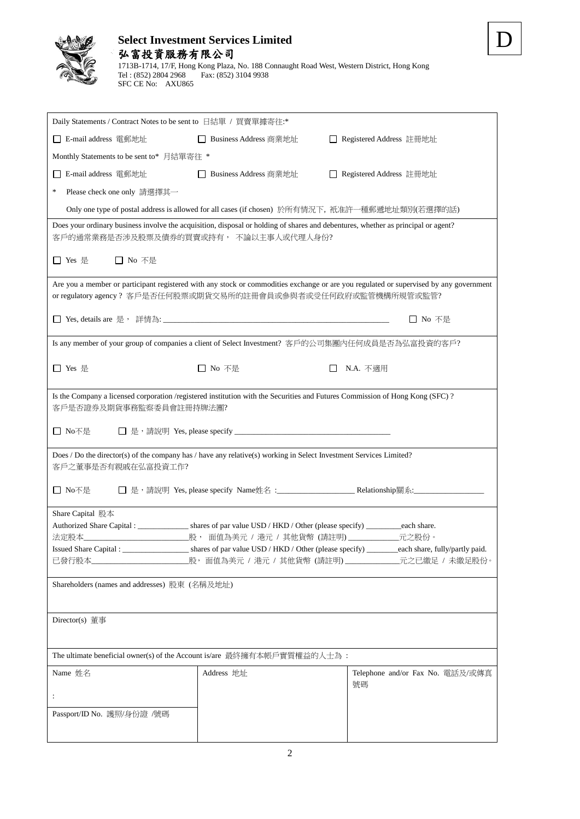## **Select Investment Services Limited** 弘富投資服務有限公司 1713B-1714, 17/F, Hong Kong Plaza, No. 188 Connaught Road West, Western District, Hong Kong

Tel : (852) 2804 2968 Fax: (852) 3104 9938

SFC CE No: AXU865

| Daily Statements / Contract Notes to be sent to 日結單 / 買賣單據寄往:*                                                                                                             |                                                                                                 |                                                                                                                                        |  |
|----------------------------------------------------------------------------------------------------------------------------------------------------------------------------|-------------------------------------------------------------------------------------------------|----------------------------------------------------------------------------------------------------------------------------------------|--|
| □ E-mail address 電郵地址                                                                                                                                                      | □ Business Address 商業地址                                                                         | □ Registered Address 註冊地址                                                                                                              |  |
| Monthly Statements to be sent to* 月結單寄往 *                                                                                                                                  |                                                                                                 |                                                                                                                                        |  |
| E-mail address 電郵地址<br>$\mathsf{L}$                                                                                                                                        | □ Business Address 商業地址                                                                         | □ Registered Address 註冊地址                                                                                                              |  |
| *<br>Please check one only 請選擇其一                                                                                                                                           |                                                                                                 |                                                                                                                                        |  |
|                                                                                                                                                                            | Only one type of postal address is allowed for all cases (if chosen) 於所有情況下, 衹准許一種郵遞地址類別(若選擇的話) |                                                                                                                                        |  |
| Does your ordinary business involve the acquisition, disposal or holding of shares and debentures, whether as principal or agent?<br>客戶的通常業務是否涉及股票及債券的買賣或持有, 不論以主事人或代理人身份? |                                                                                                 |                                                                                                                                        |  |
| □ No 不是<br>□ Yes 是                                                                                                                                                         |                                                                                                 |                                                                                                                                        |  |
| or regulatory agency? 客戶是否任何股票或期貨交易所的註冊會員或參與者或受任何政府或監管機構所規管或監管?                                                                                                            |                                                                                                 | Are you a member or participant registered with any stock or commodities exchange or are you regulated or supervised by any government |  |
|                                                                                                                                                                            |                                                                                                 | □ No 不是                                                                                                                                |  |
| Is any member of your group of companies a client of Select Investment? 客戶的公司集團內任何成員是否為弘富投資的客戶?                                                                            |                                                                                                 |                                                                                                                                        |  |
| □ Yes 是                                                                                                                                                                    | □ No 不是                                                                                         | N.A. 不適用                                                                                                                               |  |
| Is the Company a licensed corporation /registered institution with the Securities and Futures Commission of Hong Kong (SFC)?<br>客戶是否證券及期貨事務監察委員會註冊持牌法團?                    |                                                                                                 |                                                                                                                                        |  |
| □ No不是                                                                                                                                                                     |                                                                                                 |                                                                                                                                        |  |
| Does / Do the director(s) of the company has / have any relative(s) working in Select Investment Services Limited?<br>客戶之董事是否有親戚在弘富投資工作?                                   |                                                                                                 |                                                                                                                                        |  |
| □ No不是                                                                                                                                                                     |                                                                                                 |                                                                                                                                        |  |
| Share Capital 股本                                                                                                                                                           |                                                                                                 |                                                                                                                                        |  |
| 法定股本                                                                                                                                                                       | 股, 面值為美元 / 港元 / 其他貨幣 (請註明) ___________                                                          | _元之股份。                                                                                                                                 |  |
|                                                                                                                                                                            |                                                                                                 |                                                                                                                                        |  |
| 已發行股本_                                                                                                                                                                     |                                                                                                 | 股,面值為美元 / 港元 / 其他貨幣 (請註明)_____________元之已繳足 / 未繳足股份。                                                                                   |  |
| Shareholders (names and addresses) 股東 (名稱及地址)                                                                                                                              |                                                                                                 |                                                                                                                                        |  |
|                                                                                                                                                                            |                                                                                                 |                                                                                                                                        |  |
| Director(s) 董事                                                                                                                                                             |                                                                                                 |                                                                                                                                        |  |
| The ultimate beneficial owner(s) of the Account is/are 最終擁有本帳戶實質權益的人士為:                                                                                                    |                                                                                                 |                                                                                                                                        |  |
| Name 姓名                                                                                                                                                                    | Address 地址                                                                                      | Telephone and/or Fax No. 電話及/或傳真<br>號碼                                                                                                 |  |
| ÷                                                                                                                                                                          |                                                                                                 |                                                                                                                                        |  |
| Passport/ID No. 護照/身份證 /號碼                                                                                                                                                 |                                                                                                 |                                                                                                                                        |  |
|                                                                                                                                                                            |                                                                                                 |                                                                                                                                        |  |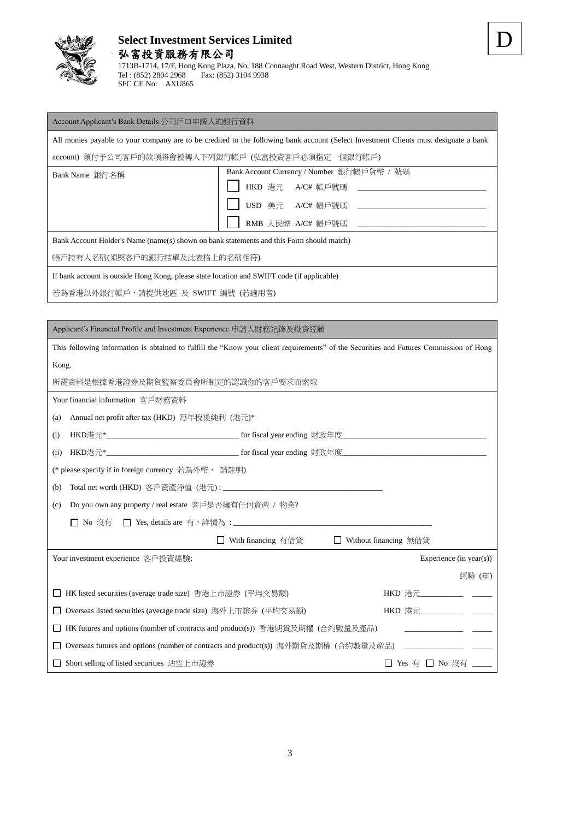

1713B-1714, 17/F, Hong Kong Plaza, No. 188 Connaught Road West, Western District, Hong Kong Tel : (852) 2804 2968 Fax: (852) 3104 9938 SFC CE No: AXU865

## Account Applicant's Bank Details 公司戶口申請人的銀行資料

All monies payable to your company are to be credited to the following bank account (Select Investment Clients must designate a bank

account) 須付予公司客戶的款項將會被轉入下列銀行帳戶 (弘富投資客戶必須指定一個銀行帳戶)

| Bank Name 銀行名稱                                                                           | Bank Account Currency / Number 銀行帳戶貨幣 / 號碼 |  |  |
|------------------------------------------------------------------------------------------|--------------------------------------------|--|--|
|                                                                                          | HKD 港元 A/C# 帳戶號碼 __________                |  |  |
|                                                                                          | USD 美元 A/C# 帳戶號碼 _________                 |  |  |
|                                                                                          | RMB 人民弊 A/C# 帳戶號碼                          |  |  |
| Bank Account Holder's Name (name(s) shown on bank statements and this Form should match) |                                            |  |  |

帳戶持有人名稱(須與客戶的銀行結單及此表格上的名稱相符)

If bank account is outside Hong Kong, please state location and SWIFT code (if applicable)

若為香港以外銀行帳戶,請提供地區 及 SWIFT 編號 (若適用者)

| Applicant's Financial Profile and Investment Experience 申請人財務紀錄及投資經驗                                                                   |  |  |
|----------------------------------------------------------------------------------------------------------------------------------------|--|--|
| This following information is obtained to fulfill the "Know your client requirements" of the Securities and Futures Commission of Hong |  |  |
| Kong.                                                                                                                                  |  |  |
| 所需資料是根據香港證券及期貨監察委員會所制定的認識你的客戶要求而索取                                                                                                     |  |  |
| Your financial information 客戶財務資料                                                                                                      |  |  |
| Annual net profit after tax (HKD) 每年稅後純利 (港元)*<br>(a)                                                                                  |  |  |
| (i)                                                                                                                                    |  |  |
| (ii)                                                                                                                                   |  |  |
| (* please specify if in foreign currency 若為外幣, 請註明)                                                                                    |  |  |
| (b)                                                                                                                                    |  |  |
| Do you own any property / real estate 客戶是否擁有任何資產 / 物業?<br>(c)                                                                          |  |  |
|                                                                                                                                        |  |  |
| □ With financing 有借貸<br>□ Without financing 無借貸                                                                                        |  |  |
| Your investment experience 客戶投資經驗:<br>Experience (in year(s))                                                                          |  |  |
| 經驗 (年)                                                                                                                                 |  |  |
| HK listed securities (average trade size) 香港上市證券 (平均交易額)                                                                               |  |  |
| Overseas listed securities (average trade size) 海外上市證券 (平均交易額)                                                                         |  |  |
| HK futures and options (number of contracts and product(s)) 香港期貨及期權 (合約數量及產品)                                                          |  |  |
| Overseas futures and options (number of contracts and product(s)) 海外期貨及期權 (合約數量及產品)                                                    |  |  |
| □ Yes 有 □ No 沒有<br>Short selling of listed securities 沽空上市證券                                                                           |  |  |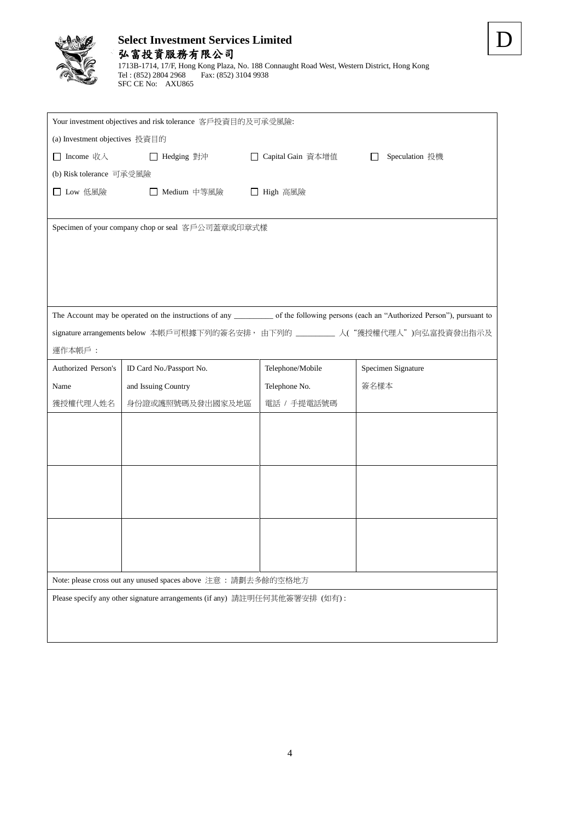

## **Select Investment Services Limited** 弘富投資服務有限公司 1713B-1714, 17/F, Hong Kong Plaza, No. 188 Connaught Road West, Western District, Hong Kong Tel : (852) 2804 2968 Fax: (852) 3104 9938 SFC CE No: AXU865

|                                 | Your investment objectives and risk tolerance 客戶投資目的及可承受風險:                |                     |                                                                                 |
|---------------------------------|----------------------------------------------------------------------------|---------------------|---------------------------------------------------------------------------------|
| (a) Investment objectives 投資目的  |                                                                            |                     |                                                                                 |
| $\Box$ Income $\forall x \land$ | □ Hedging 對沖                                                               | □ Capital Gain 資本增值 | Speculation 投機<br>$\perp$                                                       |
| (b) Risk tolerance 可承受風險        |                                                                            |                     |                                                                                 |
| $\Box$ Low 低風險                  | Medium 中等風險                                                                | □ High 高風險          |                                                                                 |
|                                 |                                                                            |                     |                                                                                 |
|                                 | Specimen of your company chop or seal 客戶公司蓋章或印章式樣                          |                     |                                                                                 |
|                                 |                                                                            |                     |                                                                                 |
|                                 |                                                                            |                     |                                                                                 |
|                                 |                                                                            |                     |                                                                                 |
|                                 |                                                                            |                     |                                                                                 |
|                                 |                                                                            |                     |                                                                                 |
|                                 |                                                                            |                     | signature arrangements below 本帳戶可根據下列的簽名安排, 由下列的_________ 人("獲授權代理人")向弘富投資發出指示及 |
| 運作本帳戶:                          |                                                                            |                     |                                                                                 |
| Authorized Person's             | ID Card No./Passport No.                                                   | Telephone/Mobile    | Specimen Signature                                                              |
| Name                            | and Issuing Country                                                        | Telephone No.       | 簽名樣本                                                                            |
| 獲授權代理人姓名                        | 身份證或護照號碼及發出國家及地區                                                           | 電話 / 手提電話號碼         |                                                                                 |
|                                 |                                                                            |                     |                                                                                 |
|                                 |                                                                            |                     |                                                                                 |
|                                 |                                                                            |                     |                                                                                 |
|                                 |                                                                            |                     |                                                                                 |
|                                 |                                                                            |                     |                                                                                 |
|                                 |                                                                            |                     |                                                                                 |
|                                 |                                                                            |                     |                                                                                 |
|                                 |                                                                            |                     |                                                                                 |
|                                 |                                                                            |                     |                                                                                 |
|                                 | Note: please cross out any unused spaces above 注意: 請劃去多餘的空格地方              |                     |                                                                                 |
|                                 | Please specify any other signature arrangements (if any) 請註明任何其他簽署安排 (如有): |                     |                                                                                 |
|                                 |                                                                            |                     |                                                                                 |
|                                 |                                                                            |                     |                                                                                 |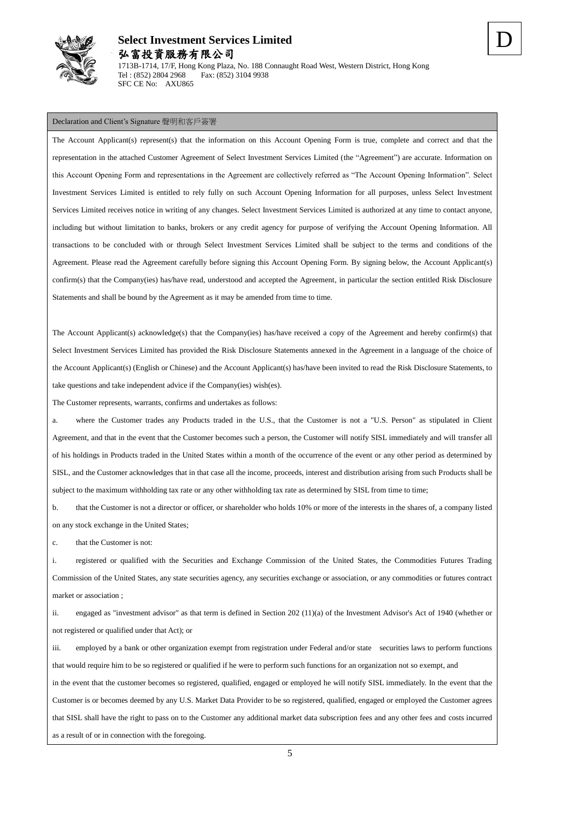

### Declaration and Client's Signature 聲明和客戶簽署

SFC CE No: AXU865

The Account Applicant(s) represent(s) that the information on this Account Opening Form is true, complete and correct and that the representation in the attached Customer Agreement of Select Investment Services Limited (the "Agreement") are accurate. Information on this Account Opening Form and representations in the Agreement are collectively referred as "The Account Opening Information". Select Investment Services Limited is entitled to rely fully on such Account Opening Information for all purposes, unless Select Investment Services Limited receives notice in writing of any changes. Select Investment Services Limited is authorized at any time to contact anyone, including but without limitation to banks, brokers or any credit agency for purpose of verifying the Account Opening Information. All transactions to be concluded with or through Select Investment Services Limited shall be subject to the terms and conditions of the Agreement. Please read the Agreement carefully before signing this Account Opening Form. By signing below, the Account Applicant(s) confirm(s) that the Company(ies) has/have read, understood and accepted the Agreement, in particular the section entitled Risk Disclosure Statements and shall be bound by the Agreement as it may be amended from time to time.

The Account Applicant(s) acknowledge(s) that the Company(ies) has/have received a copy of the Agreement and hereby confirm(s) that Select Investment Services Limited has provided the Risk Disclosure Statements annexed in the Agreement in a language of the choice of the Account Applicant(s) (English or Chinese) and the Account Applicant(s) has/have been invited to read the Risk Disclosure Statements, to take questions and take independent advice if the Company(ies) wish(es).

The Customer represents, warrants, confirms and undertakes as follows:

a. where the Customer trades any Products traded in the U.S., that the Customer is not a "U.S. Person" as stipulated in Client Agreement, and that in the event that the Customer becomes such a person, the Customer will notify SISL immediately and will transfer all of his holdings in Products traded in the United States within a month of the occurrence of the event or any other period as determined by SISL, and the Customer acknowledges that in that case all the income, proceeds, interest and distribution arising from such Products shall be subject to the maximum withholding tax rate or any other withholding tax rate as determined by SISL from time to time;

b. that the Customer is not a director or officer, or shareholder who holds 10% or more of the interests in the shares of, a company listed on any stock exchange in the United States;

c. that the Customer is not:

i. registered or qualified with the Securities and Exchange Commission of the United States, the Commodities Futures Trading Commission of the United States, any state securities agency, any securities exchange or association, or any commodities or futures contract market or association ;

ii. engaged as "investment advisor" as that term is defined in Section 202 (11)(a) of the Investment Advisor's Act of 1940 (whether or not registered or qualified under that Act); or

iii. employed by a bank or other organization exempt from registration under Federal and/or state securities laws to perform functions that would require him to be so registered or qualified if he were to perform such functions for an organization not so exempt, and in the event that the customer becomes so registered, qualified, engaged or employed he will notify SISL immediately. In the event that the Customer is or becomes deemed by any U.S. Market Data Provider to be so registered, qualified, engaged or employed the Customer agrees that SISL shall have the right to pass on to the Customer any additional market data subscription fees and any other fees and costs incurred as a result of or in connection with the foregoing.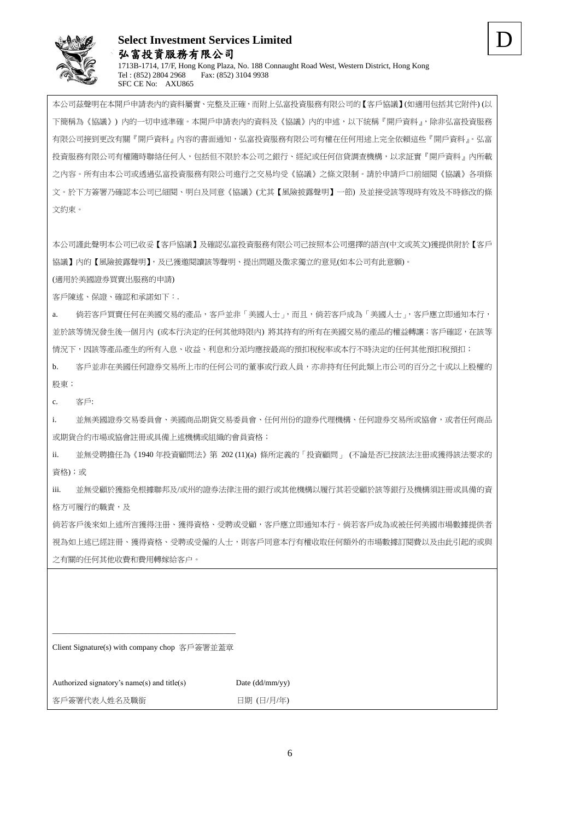

## **Select Investment Services Limited** 弘富投資服務有限公司 1713B-1714, 17/F, Hong Kong Plaza, No. 188 Connaught Road West, Western District, Hong Kong<br>  $T_{el}$ : (852) 2804 2968 Fax: (852) 3104 9938 Fax: (852) 3104 9938 SFC CE No: AXU865

本公司茲聲明在本開戶申請表內的資料屬實、完整及正確,而附上弘富投資服務有限公司的【客戶協議】(如適用包括其它附件) (以 下簡稱為《協議》) 內的一切申述準確。本開戶申請表內的資料及《協議》內的申述,以下統稱『開戶資料』,除非弘富投資服務 有限公司接到更改有關『開戶資料』內容的書面通知,弘富投資服務有限公司有權在任何用途上完全依賴這些『開戶資料』。弘富 投資服務有限公司有權隨時聯絡任何人,包括但不限於本公司之銀行、經紀或任何信貸調查機構,以求証實『開戶資料』內所載 之內容。所有由本公司或透過弘富投資服務有限公司進行之交易均受《協議》之條文限制。請於申請戶口前細閱《協議》各項條 文。於下方簽署乃確認本公司已細閱、明白及同意《協議》(尤其【風險披露聲明】一節) 及並接受該等現時有效及不時修改的條 文約束。

本公司謹此聲明本公司已收妥【客戶協議】及確認弘富投資服務有限公司己按照本公司選擇的語言(中文或英文)獲提供附於【客戶 協議】內的【風險披露聲明】,及已獲邀閱讀該等聲明、提出問題及徵求獨立的意見(如本公司有此意願)。

(適用於美國證券買賣出服務的申請)

客戶陳述、保證、確認和承諾如下:.

a. 倘若客戶買賣任何在美國交易的產品,客戶並非「美國人士」,而且,倘若客戶成為「美國人士」,客戶應立即通知本行, 並於該等情況發生後一個月內 (或本行決定的任何其他時限內) 將其持有的所有在美國交易的產品的權益轉讓;客戶確認,在該等 情況下,因該等產品產生的所有入息、收益、利息和分派均應按最高的預扣稅稅率或本行不時決定的任何其他預扣稅預扣;

b. 客戶並非在美國任何證券交易所上市的任何公司的董事或行政人員,亦非持有任何此類上市公司的百分之十或以上股權的 股東;

c. 客戶:

i. 並無美國證券交易委員會、美國商品期貨交易委員會、任何州份的證券代理機構、任何證券交易所或協會,或者任何商品 或期貨合約市場或協會註冊或具備上述機構或組織的會員資格;

ii. 並無受聘擔任為《1940 年投資顧問法》第 202 (11)(a) 條所定義的「投資顧問」 (不論是否已按該法注册或獲得該法要求的 資格);或

iii. 並無受顧於獲豁免根據聯邦及/或州的證券法律注冊的銀行或其他機構以履行其若受顧於該等銀行及機構須註冊或具備的資 格方可履行的職責,及

倘若客戶後來如上述所言獲得注册、獲得資格、受聘或受顧,客戶應立即通知本行。倘若客戶成為或被任何美國市場數據提供者 視為如上述已經註冊、獲得資格、受聘或受僱的人士,則客戶同意本行有權收取任何額外的市場數據訂閱費以及由此引起的或與 之有關的任何其他收費和費用轉嫁給客户。

\_\_\_\_\_\_\_\_\_\_\_\_\_\_\_\_\_\_\_\_\_\_\_\_\_\_\_\_\_\_\_\_\_\_\_\_\_\_\_\_\_\_\_\_\_\_\_ Client Signature(s) with company chop 客戶簽署並蓋章

Authorized signatory's name(s) and title(s) Date  $(dd/mm/vy)$ 

客戶簽署代表人姓名及職銜 1999年 1999年 日期 (日/月/年)

D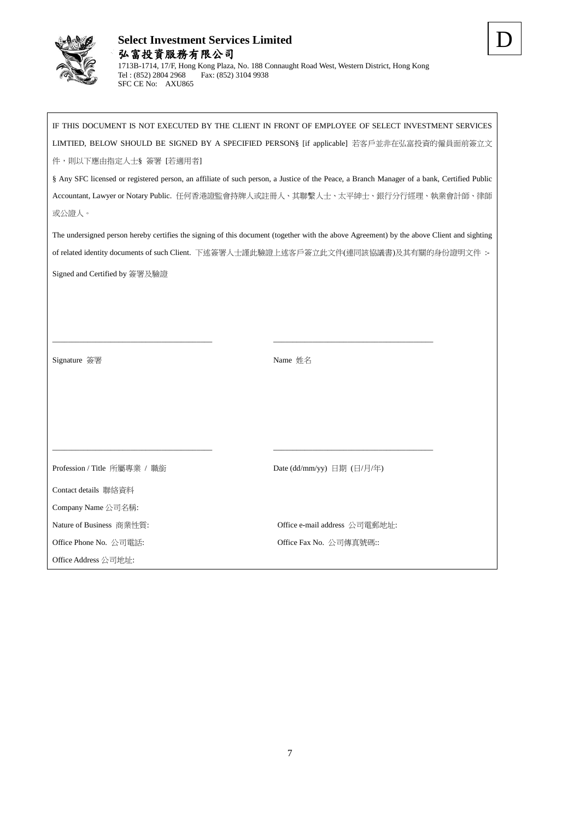

IF THIS DOCUMENT IS NOT EXECUTED BY THE CLIENT IN FRONT OF EMPLOYEE OF SELECT INVESTMENT SERVICES LIMTIED, BELOW SHOULD BE SIGNED BY A SPECIFIED PERSON§ [if applicable] 若客戶並非在弘富投資的僱員面前簽立文 件,則以下應由指定人士§ 簽署 [若適用者] § Any SFC licensed or registered person, an affiliate of such person, a Justice of the Peace, a Branch Manager of a bank, Certified Public Accountant, Lawyer or Notary Public. 任何香港證監會持牌人或註冊人、其聯繫人士、太平紳士、銀行分行經理、執業會計師、律師 或公證人。

The undersigned person hereby certifies the signing of this document (together with the above Agreement) by the above Client and sighting of related identity documents of such Client. 下述簽署人士謹此驗證上述客戶簽立此文件(連同該協議書)及其有關的身份證明文件 :- Signed and Certified by 簽署及驗證

\_\_\_\_\_\_\_\_\_\_\_\_\_\_\_\_\_\_\_\_\_\_\_\_\_\_\_\_\_\_\_\_\_\_\_\_\_\_\_\_\_ \_\_\_\_\_\_\_\_\_\_\_\_\_\_\_\_\_\_\_\_\_\_\_\_\_\_\_\_\_\_\_\_\_\_\_\_\_\_\_\_\_

\_\_\_\_\_\_\_\_\_\_\_\_\_\_\_\_\_\_\_\_\_\_\_\_\_\_\_\_\_\_\_\_\_\_\_\_\_\_\_\_\_ \_\_\_\_\_\_\_\_\_\_\_\_\_\_\_\_\_\_\_\_\_\_\_\_\_\_\_\_\_\_\_\_\_\_\_\_\_\_\_\_\_

Signature 簽署 Name 姓名

Profession / Title 所屬專業 / 職銜 <br>
Date (dd/mm/yy) 日期 (日/月/年) Contact details 聯絡資料 Company Name 公司名稱: Nature of Business 商業性質: Office e-mail address 公司電郵地址: Office Phone No. 公司電話: 
<br>
Office Fax No. 公司傳真號碼:: Office Address 公司地址: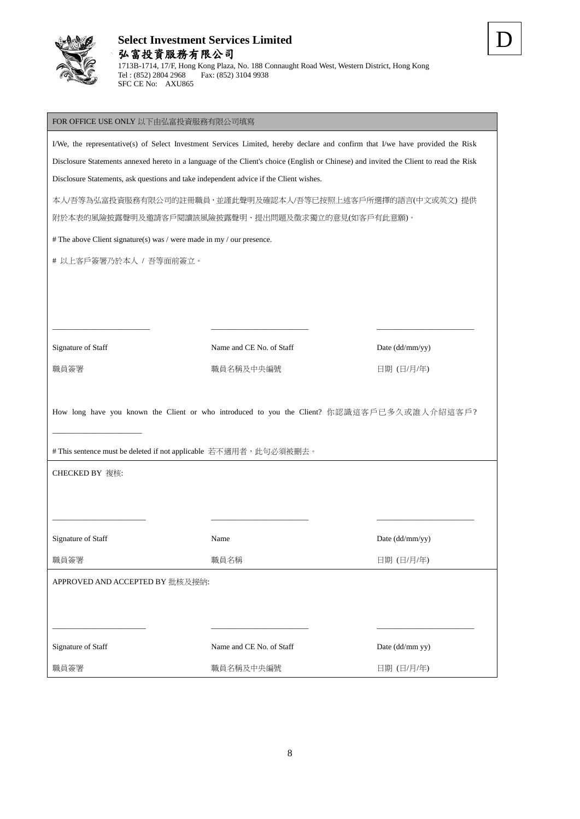

### FOR OFFICE USE ONLY 以下由弘富投資服務有限公司填寫

SFC CE No: AXU865

I/We, the representative(s) of Select Investment Services Limited, hereby declare and confirm that I/we have provided the Risk Disclosure Statements annexed hereto in a language of the Client's choice (English or Chinese) and invited the Client to read the Risk Disclosure Statements, ask questions and take independent advice if the Client wishes.

本人/吾等為弘富投資服務有限公司的註冊職員,並謹此聲明及確認本人/吾等已按照上述客戶所選擇的語言(中文或英文) 提供

附於本表的風險披露聲明及邀請客戶閱讀該風險披露聲明、提出問題及徵求獨立的意見(如客戶有此意願)。

# The above Client signature(s) was / were made in my / our presence.

# 以上客戶簽署乃於本人 / 吾等面前簽立。

Signature of Staff Name and CE No. of Staff Date (dd/mm/yy)

職員簽署 またま おおとこ おおく 職員名稱及中央編號 おおおお おおおく 日期 (日/月/年)

D

How long have you known the Client or who introduced to you the Client? 你認識這客戶已多久或誰人介紹這客戶?

\_\_\_\_\_\_\_\_\_\_\_\_\_\_\_\_\_\_\_\_\_\_\_\_ \_\_\_\_\_\_\_\_\_\_\_\_\_\_\_\_\_\_\_\_\_\_\_\_\_ \_\_\_\_\_\_\_\_\_\_\_\_\_\_\_\_\_\_\_\_\_\_\_\_\_

Name Date (dd/mm/yy)

 $\_$  , and the set of the set of the set of the set of the set of the set of the set of the set of the set of the set of the set of the set of the set of the set of the set of the set of the set of the set of the set of th

# This sentence must be deleted if not applicable 若不適用者,此句必須被刪去。

CHECKED BY 複核:

\_\_\_\_\_\_\_\_\_\_\_\_\_\_\_\_\_\_\_\_\_\_\_

| Signature of Staff |
|--------------------|
|--------------------|

職員簽署 さいしょう かいしょう かいこう 職員名稱 いっちょう かいしょう せいしょう 日期 (日/月/年)

A DDD OVED AND ACCEPTED BY 世接及接纳

| $1.11$ KO $1.10$ $1.10$ $1.10$ $1.11$ $1.11$ $1.11$ $1.11$ $1.11$ $1.11$ $1.11$ $1.11$ $1.11$ $1.11$ $1.11$ $1.11$ $1.11$ $1.11$ $1.11$ $1.11$ $1.11$ $1.11$ $1.11$ $1.11$ $1.11$ $1.11$ $1.11$ $1.11$ $1.11$ $1.11$ $1.11$ $1.11$ $1.11$ $1.11$ $1.11$ |  |
|---------------------------------------------------------------------------------------------------------------------------------------------------------------------------------------------------------------------------------------------------------|--|
|                                                                                                                                                                                                                                                         |  |
|                                                                                                                                                                                                                                                         |  |
|                                                                                                                                                                                                                                                         |  |

| Signature of Staff | Name and CE No. of Staff | Date $(dd/mm$ yy) |
|--------------------|--------------------------|-------------------|
| 職員簽署               | 職員名稱及中央編號                | 日期 (日/月/年)        |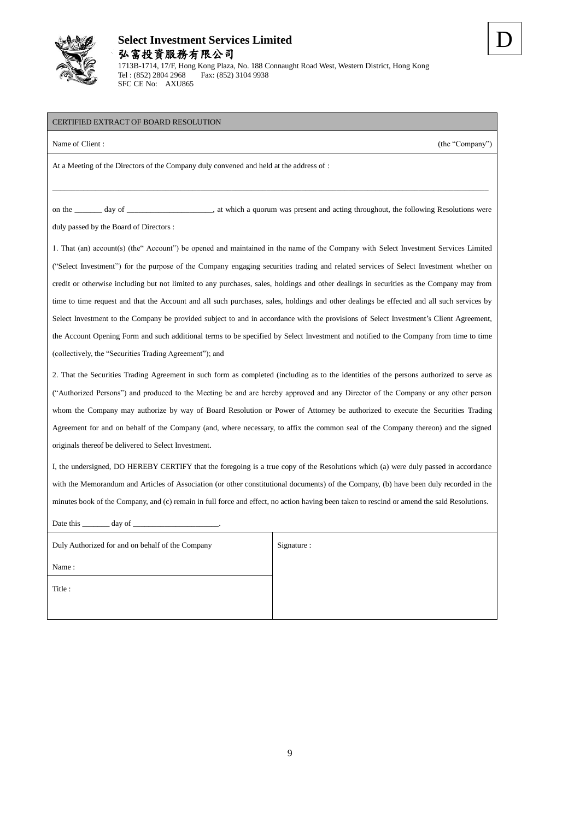

1713B-1714, 17/F, Hong Kong Plaza, No. 188 Connaught Road West, Western District, Hong Kong Tel : (852) 2804 2968 Fax: (852) 3104 9938 SFC CE No: AXU865

D

## CERTIFIED EXTRACT OF BOARD RESOLUTION

|                                         | At a Meeting of the Directors of the Company duly convened and held at the address of : |
|-----------------------------------------|-----------------------------------------------------------------------------------------|
| on the day of                           | , at which a quorum was present and acting throughout, the following Resolutions were   |
| duly passed by the Board of Directors : |                                                                                         |

Name of Client : (the "Company") (the "Company")

1. That (an) account(s) (the" Account") be opened and maintained in the name of the Company with Select Investment Services Limited ("Select Investment") for the purpose of the Company engaging securities trading and related services of Select Investment whether on credit or otherwise including but not limited to any purchases, sales, holdings and other dealings in securities as the Company may from time to time request and that the Account and all such purchases, sales, holdings and other dealings be effected and all such services by Select Investment to the Company be provided subject to and in accordance with the provisions of Select Investment's Client Agreement, the Account Opening Form and such additional terms to be specified by Select Investment and notified to the Company from time to time (collectively, the "Securities Trading Agreement"); and

2. That the Securities Trading Agreement in such form as completed (including as to the identities of the persons authorized to serve as ("Authorized Persons") and produced to the Meeting be and are hereby approved and any Director of the Company or any other person whom the Company may authorize by way of Board Resolution or Power of Attorney be authorized to execute the Securities Trading Agreement for and on behalf of the Company (and, where necessary, to affix the common seal of the Company thereon) and the signed originals thereof be delivered to Select Investment.

I, the undersigned, DO HEREBY CERTIFY that the foregoing is a true copy of the Resolutions which (a) were duly passed in accordance with the Memorandum and Articles of Association (or other constitutional documents) of the Company, (b) have been duly recorded in the minutes book of the Company, and (c) remain in full force and effect, no action having been taken to rescind or amend the said Resolutions.

| Date this<br>day of $\qquad$ |  |  |
|------------------------------|--|--|
| Signature :                  |  |  |
|                              |  |  |
|                              |  |  |
|                              |  |  |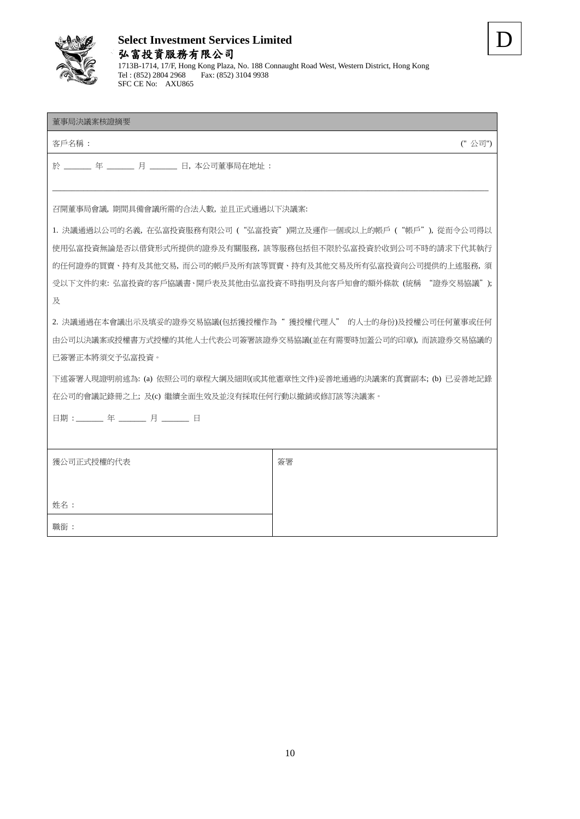

## **Select Investment Services Limited** 弘富投資服務有限公司 1713B-1714, 17/F, Hong Kong Plaza, No. 188 Connaught Road West, Western District, Hong Kong Tel : (852) 2804 2968 Fax: (852) 3104 9938



### 董事局決議案核證摘要

**客戶名稱 : ('' 公司'') としてものに、これをつけることをつけることをつけることをつけることをつけることをつけることをつけることをつけることを** 

於 \_\_\_\_\_\_\_ 年 \_\_\_\_\_\_\_ 月 \_\_\_\_\_\_\_ 日, 本公司董事局在地址 :

SFC CE No: AXU865

召開董事局會議, 期間具備會議所需的合法人數, 並且正式通過以下決議案:

1. 決議通過以公司的名義, 在弘富投資服務有限公司 ("弘富投資")開立及運作一個或以上的帳戶 ("帳戶"), 從而令公司得以 使用弘富投資無論是否以借貸形式所提供的證券及有關服務, 該等服務包括但不限於弘富投資於收到公司不時的請求下代其執行 的任何證券的買賣、持有及其他交易, 而公司的帳戶及所有該等買賣、持有及其他交易及所有弘富投資向公司提供的上述服務, 須 受以下文件約束: 弘富投資的客戶協議書、開戶表及其他由弘富投資不時指明及向客戶知會的額外條款 (統稱 "證券交易協議"); 及

 $\_$  , and the set of the set of the set of the set of the set of the set of the set of the set of the set of the set of the set of the set of the set of the set of the set of the set of the set of the set of the set of th

2. 決議通過在本會議出示及填妥的證券交易協議(包括獲授權作為" 獲授權代理人" 的人士的身份)及授權公司任何董事或任何 由公司以決議案或授權書方式授權的其他人士代表公司簽署該證券交易協議(並在有需要時加蓋公司的印章), 而該證券交易協議的 已簽署正本將須交予弘富投資。

下述簽署人現證明前述為: (a) 依照公司的章程大綱及細則(或其他憲章性文件)妥善地通過的決議案的真實副本; (b) 已妥善地記錄 在公司的會議記錄冊之上; 及(c) 繼續全面生效及並沒有採取任何行動以撤銷或修訂該等決議案。

日期 : \_\_\_\_\_\_ 年 \_\_\_\_\_\_ 月 \_\_\_\_\_\_ 日

| 獲公司正式授權的代表 | 簽署 |
|------------|----|
|            |    |
| 姓名:        |    |
| 職銜:        |    |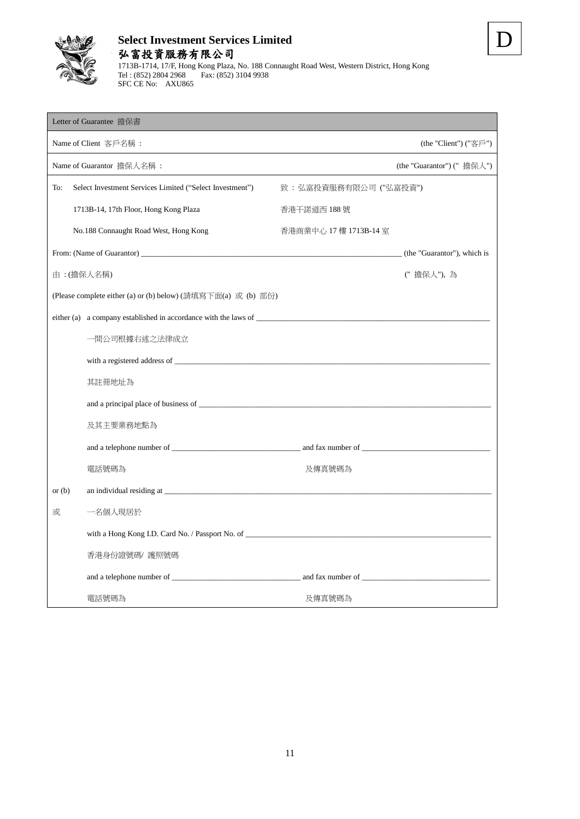

1713B-1714, 17/F, Hong Kong Plaza, No. 188 Connaught Road West, Western District, Hong Kong Tel : (852) 2804 2968 Fax: (852) 3104 9938 SFC CE No: AXU865

| Letter of Guarantee 擔保書                                         |                        |                             |
|-----------------------------------------------------------------|------------------------|-----------------------------|
| Name of Client 客戶名稱:                                            |                        | (the "Client") $("$ 客戶")    |
| Name of Guarantor 擔保人名稱:                                        |                        | (the "Guarantor") (" 擔保人")  |
| To:<br>Select Investment Services Limited ("Select Investment") | 致:弘富投資服務有限公司("弘富投資")   |                             |
| 1713B-14, 17th Floor, Hong Kong Plaza                           | 香港干諾道西 188 號           |                             |
| No.188 Connaught Road West, Hong Kong                           | 香港商業中心 17 樓 1713B-14 室 |                             |
|                                                                 |                        | (the "Guarantor"), which is |
| 由:(擔保人名稱)                                                       |                        | ("擔保人"),為                   |
| (Please complete either (a) or (b) below) (請填寫下面(a) 或 (b) 部份)   |                        |                             |
|                                                                 |                        |                             |
| 一間公司根據右述之法律成立                                                   |                        |                             |
|                                                                 |                        |                             |
| 其註冊地址為                                                          |                        |                             |
|                                                                 |                        |                             |
| 及其主要業務地點為                                                       |                        |                             |
|                                                                 |                        |                             |
| 電話號碼為                                                           | 及傳真號碼為                 |                             |
| or $(b)$                                                        |                        |                             |
| 一名個人現居於<br>或                                                    |                        |                             |
|                                                                 |                        |                             |
| 香港身份證號碼/ 護照號碼                                                   |                        |                             |
|                                                                 |                        |                             |
| 電話號碼為                                                           | 及傳真號碼為                 |                             |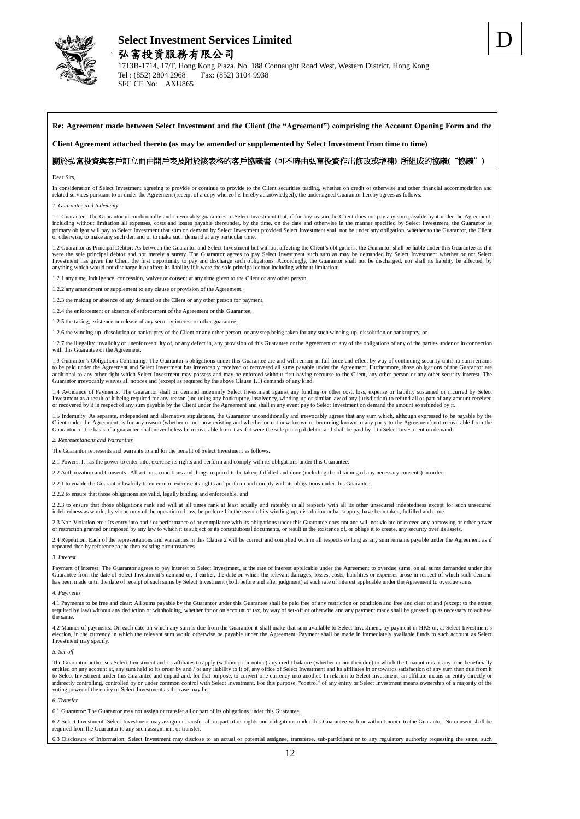

1713B-1714, 17/F, Hong Kong Plaza, No. 188 Connaught Road West, Western District, Hong Kong<br>  $T_{el}$ : (852) 2804 2968 Fax: (852) 3104 9938 Fax: (852) 3104 9938 SFC CE No: AXU865

D

**Re: Agreement made between Select Investment and the Client (the "Agreement") comprising the Account Opening Form and the** 

**Client Agreement attached thereto (as may be amended or supplemented by Select Investment from time to time)**

#### 關於弘富投資與客戶訂立而由開戶表及附於該表格的客戶協議書 **(**可不時由弘富投資作出修改或增補**)** 所組成的協議**(**"協議"**)**

#### Dear Sirs,

In consideration of Select Investment agreeing to provide or continue to provide to the Client securities trading, whether on credit or otherwise and other financial accommodation and related services pursuant to or under the Agreement (receipt of a copy whereof is hereby acknowledged), the undersigned Guarantor hereby agrees as follows:

#### *1. Guarantee and Indemnity*

1.1 Guarantee: The Guarantor unconditionally and irrevocably guarantees to Select Investment that, if for any reason the Client does not pay any sum payable by it under the Agreement, including without limitation all expenses, costs and losses payable thereunder, by the time, on the date and otherwise in the manner specified by Select Investment, the Guarantor as<br>primary obligor will pay to Select Inves or otherwise, to make any such demand or to make such demand at any particular time.

1.2 Guarantor as Principal Debtor: As between the Guarantor and Select Investment but without affecting the Client's obligations, the Guarantor shall be liable under this Guarantee as if it is the Suarantee as if it is the Investment has given the Client the first opportunity to pay and discharge such obligations. Accordingly, the Guarantor shall not be discharged, nor shall its liability be affected, by<br>anything which would not discharge it

1.2.1 any time, indulgence, concession, waiver or consent at any time given to the Client or any other person,

 $1.2.2$  any amendment or supplement to any clause or provision of the Agreement,

1.2.3 the making or absence of any demand on the Client or any other person for payment,

1.2.4 the enforcement or absence of enforcement of the Agreement or this Guarantee,

1.2.5 the taking, existence or release of any security interest or other guarantee,

1.2.6 the winding-up, dissolution or bankruptcy of the Client or any other person, or any step being taken for any such winding-up, dissolution or bankruptcy, or

1.2.7 the illegality, invalidity or unenforceability of, or any defect in, any provision of this Guarantee or the Agreement or any of the obligations of any of the parties under or in connection with this Guarantee or the Agreement.

1.3 Guarantor's Obligations Continuing: The Guarantor's obligations under this Guarantee are and will remain in full force and effect by way of continuing security until no sum remains to be paid under the Agreement and Select Investment has irrevocably received or recovered all sums payable under the Agreement. Furthermore, those obligations of the Guarantor are<br>additional to any other right which Selec Guarantor irrevocably waives all notices and (except as required by the above Clause 1.1) demands of any kind.

1.4 Avoidance of Payments: The Guarantor shall on demand indemnify Select Investment against any funding or other cost, loss, expense or liability sustained or incurred by Select<br>Investment as a result of it being required

1.5 Indemnity: As separate, independent and alternative stipulations, the Guarantor unconditionally and irrevocably agrees that any sum which, although expressed to be payable by the<br>Client under the Agreement, is for any Guarantor on the basis of a guarantee shall nevertheless be recoverable from it as if it were the sole principal debtor and shall be paid by it to Select Investment on demand.

*2. Representations and Warranties*

The Guarantor represents and warrants to and for the benefit of Select Investment as follows:

2.1 Powers: It has the power to enter into, exercise its rights and perform and comply with its obligations under this Guarantee.

2.2 Authorization and Consents : All actions, conditions and things required to be taken, fulfilled and done (including the obtaining of any necessary consents) in order:

2.2.1 to enable the Guarantor lawfully to enter into, exercise its rights and perform and comply with its obligations under this Guarantee,

2.2.2 to ensure that those obligations are valid, legally binding and enforceable, and

2.2.3 to ensure that those obligations rank and will at all times rank at least equally and rateably in all respects with all its other unsecured indebtedness except for such unsecured indebtedness as would, by virtue only of the operation of law, be preferred in the event of its winding-up, dissolution or bankruptcy, have been taken, fulfilled and done.

2.3 Non-Violation etc.: Its entry into and / or performance of or compliance with its obligations under this Guarantee does not and will not violate or exceed any borrowing or other power or restriction granted or imposed by any law to which it is subject or its constitutional documents, or result in the existence of, or oblige it to create, any security over its assets.

2.4 Repetition: Each of the representations and warranties in this Clause 2 will be correct and complied with in all respects so long as any sum remains payable under the Agreement as if repeated then by reference to the then existing circumstances.

#### *3. Interest*

Payment of interest: The Guarantor agrees to pay interest to Select Investment, at the rate of interest applicable under the Agreement to overdue sums, on all sums demanded under this Guarantee from the date of Select Investment's demand or, if earlier, the date on which the relevant damages, losses, costs, liabilities or expenses arose in respect of which such demand<br>has been made until the date of rec

#### *4. Payments*

4.1 Payments to be free and clear: All sums payable by the Guarantor under this Guarantee shall be paid free of any restriction or condition and free and clear of and (except to the extent required by law) without any deduction or withholding, whether for or on account of tax, by way of set-off or otherwise and any payment made shall be grossed up as necessary to achieve the same.

4.2 Manner of payments: On each date on which any sum is due from the Guarantor it shall make that sum available to Select Investment, by payment in HK\$ or, at Select Investment's election, in the currency in which the relevant sum would otherwise be payable under the Agreement. Payment shall be made in immediately available funds to such account as Select Investment may specify.

#### *5. Set-off*

The Guarantor authorises Select Investment and its affiliates to apply (without prior notice) any credit balance (whether or not then due) to which the Guarantor is at any time beneficially<br>entitled on any account at, any to Select Investment under this Guarantee and unpaid and, for that purpose, to convert one currency into another. In relation to Select Investment, an affiliate means an entity directly or<br>indirectly controlling, controlle voting power of the entity or Select Investment as the case may be.

#### *6. Transfer*

6.1 Guarantor: The Guarantor may not assign or transfer all or part of its obligations under this Guarantee.

6.2 Select Investment: Select Investment may assign or transfer all or part of its rights and obligations under this Guarantee with or without notice to the Guarantor. No consent shall be required from the Guarantor to any such assignment or transfer.

6.3 Disclosure of Information: Select Investment may disclose to an actual or potential assignee, transferee, sub-participant or to any regulatory authority requesting the same, such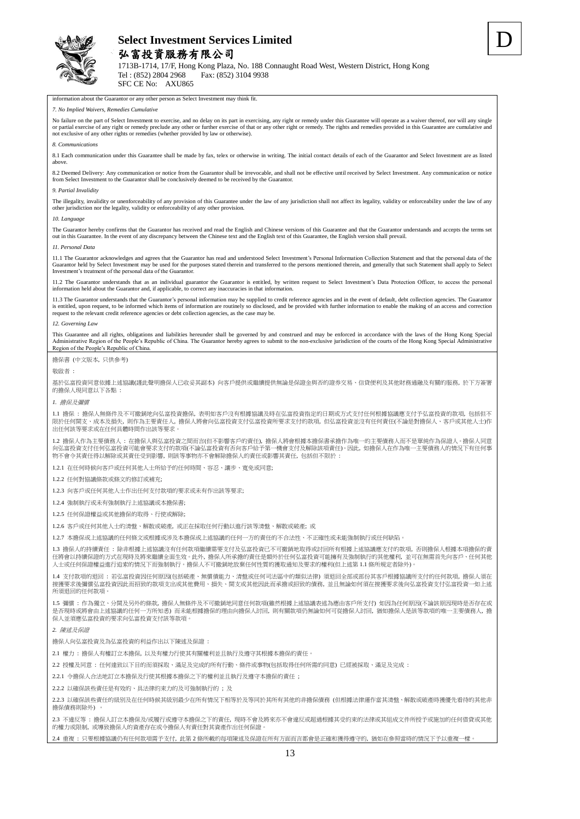

1713B-1714, 17/F, Hong Kong Plaza, No. 188 Connaught Road West, Western District, Hong Kong<br>Tel : (852) 2804 2968 Fax: (852) 3104 9938 Fax: (852) 3104 9938

D

SFC CE No: AXU865

information about the Guarantor or any other person as Select Investment may think fit.

### *7. No Implied Waivers, Remedies Cumulative*

No failure on the part of Select Investment to exercise, and no delay on its part in exercising, any right or remedy under this Guarantee will operate as a waiver thereof, nor will any single or partial exercise of any right or remedy preclude any other or further exercise of that or any other right or remedy. The rights and remedies provided in this Guarantee are cumulative and<br>not exclusive of any other right

#### *8. Communications*

8.1 Each communication under this Guarantee shall be made by fax, telex or otherwise in writing. The initial contact details of each of the Guarantor and Select Investment are as listed above.

8.2 Deemed Delivery: Any communication or notice from the Guarantor shall be irrevocable, and shall not be effective until received by Select Investment. Any communication or notice from Select Investment to the Guarantor shall be conclusively deemed to be received by the Guarantor.

#### *9. Partial Invalidity*

The illegality, invalidity or unenforceability of any provision of this Guarantee under the law of any jurisdiction shall not affect its legality, validity or enforceability under the law of any other jurisdiction nor the legality, validity or enforceability of any other provision.

#### *10. Language*

The Guarantor hereby confirms that the Guarantor has received and read the English and Chinese versions of this Guarantee and that the Guarantor understands and accepts the terms set out in this Guarantee. In the event of any discrepancy between the Chinese text and the English text of this Guarantee, the English version shall prevail.

#### *11. Personal Data*

11.1 The Guarantor acknowledges and agrees that the Guarantor has read and understood Select Investment's Personal Information Collection Statement and that the personal data of the Guarantor held by Select Investment may be used for the purposes stated therein and transferred to the persons mentioned therein, and generally that such Statement shall apply to Select Investment's treatment of the personal data of the Guarantor.

11.2 The Guarantor understands that as an individual guarantor the Guarantor is entitled, by written request to Select Investment's Data Protection Officer, to access the personal information held about the Guarantor and, if applicable, to correct any inaccuracies in that information.

11.3 The Guarantor understands that the Guarantor's personal information may be supplied to credit reference agencies and in the event of default, debt collection agencies. The Guarantor is entitled, upon request, to be informed which items of information are routinely so disclosed, and be provided with further information to enable the making of an access and correction request to the relevant credit reference agencies or debt collection agencies, as the case may be.

#### *12. Governing Law*

This Guarantee and all rights, obligations and liabilities hereunder shall be governed by and construed and may be enforced in accordance with the laws of the Hong Kong Special<br>Administrative Region of the People's Republi Region of the People's Republic of China.

擔保書 (中文版本, 只供參考)

敬啟者 :

基於弘富投資同意依據上述協議(謹此聲明擔保人已收妥其副本) 向客戶提供或繼續提供無論是保證金與否的證券交易、信貸便利及其他財務通融及有關的服務, 於下方簽署 的擔保人現同意以下各點 :

#### *1.* 擔保及彌償

1.1 擔保 : 擔保人無條件及不可撤銷地向弘富投資擔保, 表明如客戶沒有根據協議及時在弘富投資指定的日期或方式支付任何根據協議應支付予弘富投資的款項, 包括但不 限於任何開支、成本及損失, 則作為主要責任人, 擔保人將會向弘富投資支付弘富投資所要求支付的款項, 但弘富投資並沒有任何責任(不論是對擔保人、客戶或其他人士)作 出任何該等要求或在任何具體時間作出該等要求。

1.2 擔保人作為主要債務人 : 在擔保人與弘富投資之間而言(但不影響客戶的責任), 擔保人將會根據本擔保書承擔作為唯一的主要債務人而不是單純作為保證人。擔保人同意 向弘富投資支付任何弘富投資可能會要求支付的款項(不論弘富投資有否向客戶給予第一機會支付及解除該項責任)。因此, 如擔保人在作為唯一主要債務人的情況下有任何事 物不會令其責任得以解除或其責任受到影響, 則該等事物亦不會解除擔保人的責任或影響其責任, 包括但不限於 :

1.2.1 在任何時候向客戶或任何其他人士所給予的任何時間、容忍、讓步、寬免或同意;

1.2.2 任何對協議條款或條文的修訂或補充;

1.2.3 向客戶或任何其他人士作出任何支付款項的要求或未有作出該等要求;

1.2.4 強制執行或未有強制執行上述協議或本擔保書;

1.2.5 任何保證權益或其他擔保的取得、行使或解除;

1.2.6 客戶或任何其他人士的清盤、解散或破產, 或正在採取任何行動以進行該等清盤、解散或破產; 或

1.2.7 本擔保或上述協議的任何條文或根據或涉及本擔保或上述協議的任何一方的責任的不合法性、不正確性或未能強制執行或任何缺陷。

1.3 擔保人的持續責任 : 除非根據上述協議沒有任何款項繼續需要支付及弘富投資已不可撤銷地取得或討回所有根據上述協議應支付的款項, 否則擔保人根據本項擔保的責 任將會以持續保證的方式在現時及將來繼續全面生效。此外, 擔保人所承擔的責任是額外於任何弘富投資可能擁有及強制執行的其他權利, 並可在無需首先向客戶、任何其他 人士或任何保證權益進行追索的情況下而強制執行。擔保人不可撤銷地放棄任何性質的獲取通知及要求的權利(但上述第 1.1 條所規定者除外)。

1.4 支付款項的退回 : 若弘富投資因任何原因(包括破產、無償債能力、清盤或任何司法區中的類似法律) 須退回全部或部份其客戶根據協議所支付的任何款項, 擔保人須在 接獲要求後彌償弘富投資因此而招致的款項支出或其他費用、損失、開支或其他因此而承擔或招致的債務, 並且無論如何須在接獲要求後向弘富投資支付弘富投資一如上述 所須退回的任何款項。

1.5 彌償 : 作為獨立、分開及另外的條款, 擔保人無條件及不可撤銷地同意任何款項(雖然根據上述協議表述為應由客戶所支付) 如因為任何原因(不論該原因現時是否存在或 是否現時或將會由上述協議的任何一方所知悉) 而未能根據擔保的理由向擔保人討回, 則有關款項仍無論如何可從擔保人討回, 猶如擔保人是該等款項的唯一主要債務人, 擔 保人並須應弘富投資的要求向弘富投資支付該等款項。

*2.* 陳述及保證

擔保人向弘富投資及為弘富投資的利益作出以下陳述及保證 :

2.1 權力 : 擔保人有權訂立本擔保, 以及有權力行使其有關權利並且執行及遵守其根據本擔保的責任。

2.2 授權及同意 : 任何達致以下目的而須採取、滿足及完成的所有行動、條件或事物(包括取得任何所需的同意) 已經被採取、滿足及完成 :

2.2.1 令擔保人合法地訂立本擔保及行使其根據本擔保之下的權利並且執行及遵守本擔保的責任 ;

2.2.2 以確保該些責任是有效的、具法律約束力的及可強制執行的 ; 及

2.2.3 以確保該些責任的級別及在任何時候其級別最少在所有情況下相等於及等同於其所有其他的非擔保債務 (但根據法律運作當其清盤、解散或破產時獲優先看待的其他非 擔保債務則除外) 。

2.3 不違反等 : 擔保人訂立本擔保及/或履行或遵守本擔保之下的責任, 現時不會及將來亦不會違反或超過根據其受約束的法律或其組成文件所授予或施加的任何借貸或其他 的權力或限制, 或導致擔保人的資產存在或令擔保人有責任對其資產作出任何保證。

2.4 重複 : 只要根據協議仍有任何款項需予支付, 此第 2 條所載的每項陳述及保證在所有方面而言都會是正確和獲得遵守的, 猶如在參照當時的情況下予以重複一樣。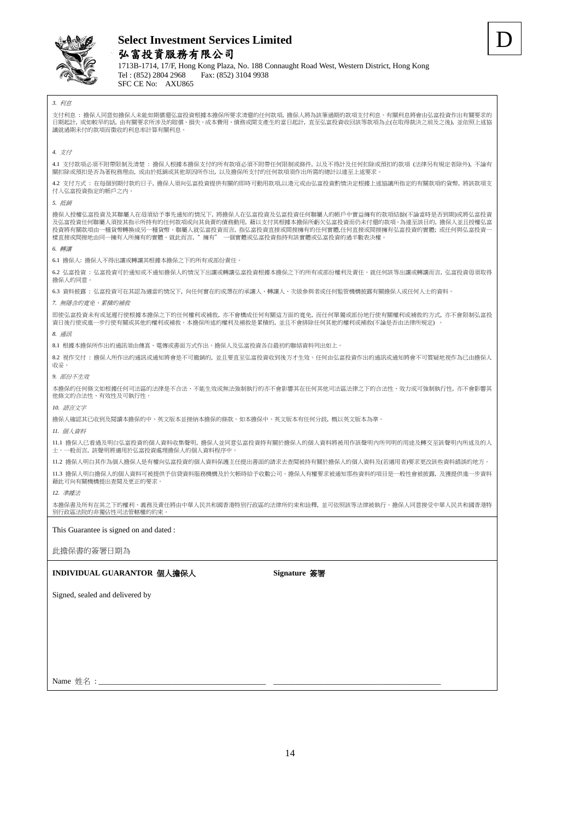

Name 姓名:\_

# **Select Investment Services Limited** 弘富投資服務有限公司

D

1713B-1714, 17/F, Hong Kong Plaza, No. 188 Connaught Road West, Western District, Hong Kong<br>  $T_{el}$ : (852) 2804 2968 Fax: (852) 3104 9938 Fax: (852) 3104 9938 SFC CE No: AXU865

*3.* 利息 支付利息 : 擔保人同意如擔保人未能如期償還弘富投資根據本擔保所要求清還的任何款項, 擔保人將為該筆過期的款項支付利息。有關利息將會由弘富投資作出有關要求的 日期起計, 或如較早的話, 由有關要求所涉及的賠償、損失、成本費用、債務或開支產生的當日起計, 直至弘富投資收回該等款項為止(在取得裁決之前及之後), 並依照上述協 議就過期未付的款項而徵收的利息率計算有關利息。 *4.* 支付 4.1 支付款項必須不附帶限制及清楚 : 擔保人根據本擔保支付的所有款項必須不附帶任何限制或條件, 以及不得計及任何扣除或預扣的款項 (法律另有規定者除外), 不論有 關扣除或預扣是否為著稅務理由, 或由於抵銷或其他原因所作出, 以及擔保所支付的任何款項須作出所需的總計以達至上述要求。 4.2 支付方式 : 在每個到期付款的日子, 擔保人須向弘富投資提供有關的即時可動用款項,以港元或由弘富投資酌情決定根據上述協議所指定的有關款項的貨幣, 將該款項支 付入弘富投資指定的帳戶之內。 *5.* 抵銷 擔保人授權弘富投資及其聯屬人在毋須給予事先通知的情況下,將擔保人在弘富投資及弘富投資任何聯屬人的帳戶中實益擁有的款項結餘(不論當時是否到期)或將弘富投資<br>及弘富投資任何聯屬人須按其指示所持有的任何款項或向其負責的債務動用,藉以支付其根據本擔保所虧欠弘富投資而仍未付還的款項。為達至該目的,擔保人並且授權弘富 投資將有關款項由一種貨幣轉換成另一種貨幣。聯屬人就弘富投資而言, 指弘富投資直接或間接擁有的任何實體,任何直接或間接擁有弘富投資的實體; 或任何與弘富投資一<br>樣直接或間接地由同一擁有人所擁有的實體。就此而言, " 擁有" 一個實體或弘富投資指持有該實體或弘富投資的過半數表決權。 樣直接或間接地由同一擁有人所擁有的實體。就此而言,"擁有" *6.* 轉讓 6.1 擔保人: 擔保人不得出讓或轉讓其根據本擔保之下的所有或部份責任。 6.2 弘富投資 : 弘富投資可於通知或不通知擔保人的情況下出讓或轉讓弘富投資根據本擔保之下的所有或部份權利及責任。就任何該等出讓或轉讓而言, 弘富投資毋須取得 擔保人的同意。 6.3 資料披露 : 弘富投資可在其認為適當的情況下, 向任何實在的或潛在的承讓人、轉讓人、次級參與者或任何監管機構披露有關擔保人或任何人士的資料。 *7.* 無隱含的寬免、累積的補救 即使弘富投資未有或延遲行使根據本擔保之下的任何權利或補救, 亦不會構成任何有關這方面的寬免, 而任何單獨或部份地行使有關權利或補救的方式, 亦不會限制弘富投 資日後行使或進一步行使有關或其他的權利或補救。本擔保所述的權利及補救是累積的, 並且不會排除任何其他的權利或補救(不論是否由法律所規定) 。 *8.* 通訊 8.1 根據本擔保所作出的通訊須由傳真、電傳或書面方式作出。擔保人及弘富投資各自最初的聯絡資料列出如上。 8.2 視作交付 : 擔保人所作出的通訊或通知將會是不可撤銷的, 並且要直至弘富投資收到後方才生效。任何由弘富投資作出的通訊或通知將會不可質疑地視作為已由擔保人 收妥。 *9.* 部份不生效 本擔保的任何條文如根據任何司法區的法律是不合法、不能生效或無法強制執行的亦不會影響其在任何其他司法區法律之下的合法性、效力或可強制執行性, 亦不會影響其 他條文的合法性、有效性及可執行性。 *10.* 語言文字 擔保人確認其已收到及閱讀本擔保的中、英文版本並接納本擔保的條款。如本擔保中、英文版本有任何分歧, 概以英文版本為準。 *11.* 個人資料 11.1 擔保人已看過及明白弘富投資的個人資料收集聲明, 擔保人並同意弘富投資持有關於擔保人的個人資料將被用作該聲明內所列明的用途及轉交至該聲明內所述及的人 士。一般而言, 該聲明將適用於弘富投資處理擔保人的個人資料程序中。 11.2 擔保人明白其作為個人擔保人是有權向弘富投資的個人資料保護主任提出書面的請求去查閱被持有關於擔保人的個人資料及(若適用者)要求更改該些資料錯誤的地方。 11.3 擔保人明白擔保人的個人資料可被提供予信貸資料服務機構及於欠帳時給予收數公司。擔保人有權要求被通知那些資料的項目是一般性會被披露, 及獲提供進一步資料 藉此可向有關機構提出查閱及更正的要求。 *12.* 準據法 本擔保書及所有在其之下的權利、義務及責任將由中華人民共和國香港特別行政區的法律所約束和詮釋, 並可依照該等法律被執行。擔保人同意接受中華人民共和國香港特 別行政區法院的非獨佔性司法管轄權的約束。 This Guarantee is signed on and dated : 此擔保書的簽署日期為 **INDIVIDUAL GUARANTOR** 個人擔保人 **Signature** 簽署 Signed, sealed and delivered by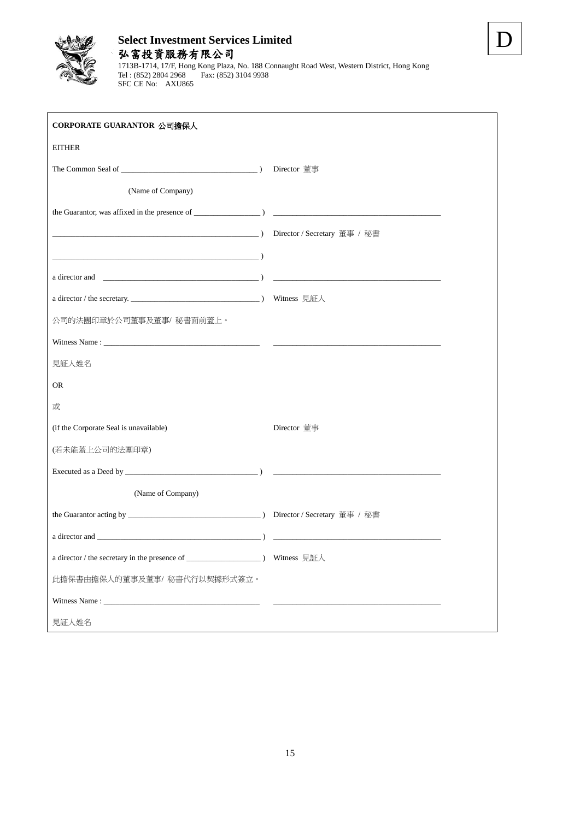

SFC CE No: AXU865

## **Select Investment Services Limited** 弘富投資服務有限公司 1713B-1714, 17/F, Hong Kong Plaza, No. 188 Connaught Road West, Western District, Hong Kong Tel : (852) 2804 2968 Fax: (852) 3104 9938

D

| CORPORATE GUARANTOR 公司擔保人                                                                    |             |
|----------------------------------------------------------------------------------------------|-------------|
| <b>EITHER</b>                                                                                |             |
| The Common Seal of $\sqrt{\frac{2}{1-\frac{1}{2}} \left(\frac{1}{2}-\frac{1}{2}\right)^{2}}$ | Director 董事 |
| (Name of Company)                                                                            |             |
|                                                                                              |             |
|                                                                                              |             |
|                                                                                              |             |
|                                                                                              |             |
|                                                                                              | Witness 見証人 |
| 公司的法團印章於公司董事及董事/ 秘書面前蓋上。                                                                     |             |
|                                                                                              |             |
| 見証人姓名                                                                                        |             |
| <b>OR</b>                                                                                    |             |
| 或                                                                                            |             |
| (if the Corporate Seal is unavailable)                                                       | Director 董事 |
| (若未能蓋上公司的法團印章)                                                                               |             |
|                                                                                              |             |
| (Name of Company)                                                                            |             |
|                                                                                              |             |
|                                                                                              |             |
|                                                                                              |             |
| 此擔保書由擔保人的董事及董事/ 秘書代行以契據形式簽立。                                                                 |             |
|                                                                                              |             |
| 見証人姓名                                                                                        |             |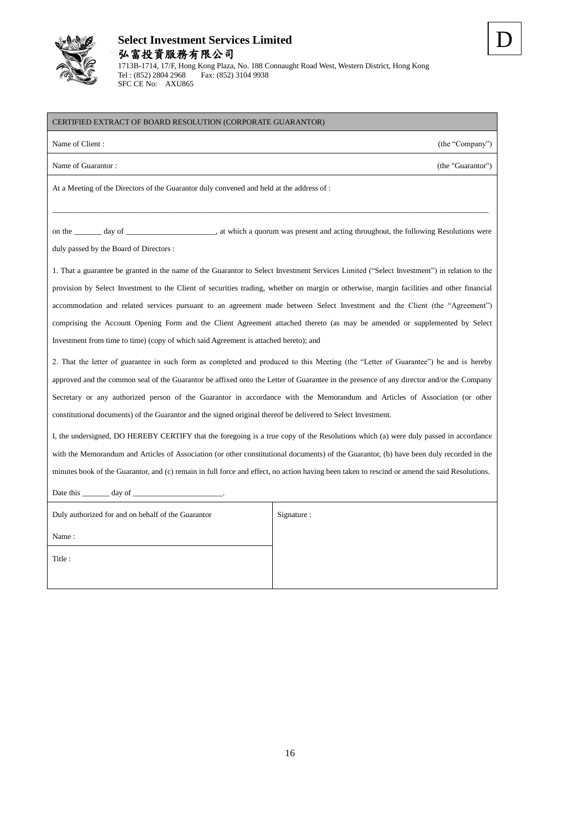

Date this  $\_\_\_\_\_\$  day of  $\_\_\$ 

# **Select Investment Services Limited** 弘富投資服務有限公司

CERTIFIED EXTRACT OF BOARD RESOLUTION (CORPORATE GUARANTOR)

1713B-1714, 17/F, Hong Kong Plaza, No. 188 Connaught Road West, Western District, Hong Kong Tel : (852) 2804 2968 Fax: (852) 3104 9938 SFC CE No: AXU865

| Name of Client:<br>(the "Company")                                                                                                         |
|--------------------------------------------------------------------------------------------------------------------------------------------|
| Name of Guarantor:<br>(the "Guarantor")                                                                                                    |
| At a Meeting of the Directors of the Guarantor duly convened and held at the address of :                                                  |
|                                                                                                                                            |
|                                                                                                                                            |
| duly passed by the Board of Directors :                                                                                                    |
| 1. That a guarantee be granted in the name of the Guarantor to Select Investment Services Limited ("Select Investment") in relation to the |
| provision by Select Investment to the Client of securities trading, whether on margin or otherwise, margin facilities and other financial  |
| accommodation and related services pursuant to an agreement made between Select Investment and the Client (the "Agreement")                |
| comprising the Account Opening Form and the Client Agreement attached thereto (as may be amended or supplemented by Select                 |
| Investment from time to time) (copy of which said Agreement is attached hereto); and                                                       |
| 2. That the letter of guarantee in such form as completed and produced to this Meeting (the "Letter of Guarantee") be and is hereby        |

approved and the common seal of the Guarantor be affixed onto the Letter of Guarantee in the presence of any director and/or the Company Secretary or any authorized person of the Guarantor in accordance with the Memorandum and Articles of Association (or other constitutional documents) of the Guarantor and the signed original thereof be delivered to Select Investment.

I, the undersigned, DO HEREBY CERTIFY that the foregoing is a true copy of the Resolutions which (a) were duly passed in accordance with the Memorandum and Articles of Association (or other constitutional documents) of the Guarantor, (b) have been duly recorded in the minutes book of the Guarantor, and (c) remain in full force and effect, no action having been taken to rescind or amend the said Resolutions.

| Duly authorized for and on behalf of the Guarantor | Signature : |
|----------------------------------------------------|-------------|
| Name:                                              |             |
| Title:                                             |             |